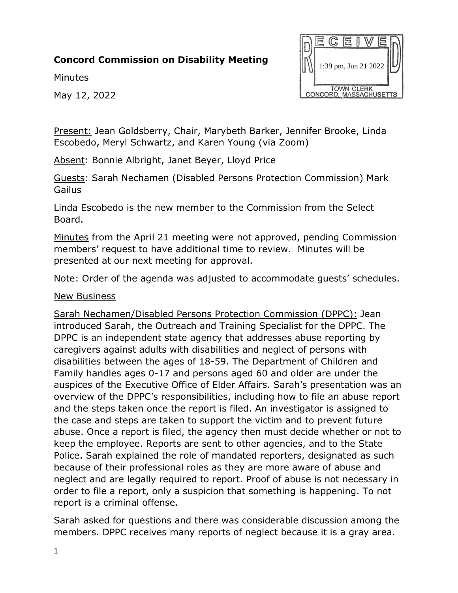# **Concord Commission on Disability Meeting**

**Minutes** 

May 12, 2022



Present: Jean Goldsberry, Chair, Marybeth Barker, Jennifer Brooke, Linda Escobedo, Meryl Schwartz, and Karen Young (via Zoom)

Absent: Bonnie Albright, Janet Beyer, Lloyd Price

Guests: Sarah Nechamen (Disabled Persons Protection Commission) Mark **Gailus** 

Linda Escobedo is the new member to the Commission from the Select Board.

Minutes from the April 21 meeting were not approved, pending Commission members' request to have additional time to review. Minutes will be presented at our next meeting for approval.

Note: Order of the agenda was adjusted to accommodate guests' schedules.

#### New Business

Sarah Nechamen/Disabled Persons Protection Commission (DPPC): Jean introduced Sarah, the Outreach and Training Specialist for the DPPC. The DPPC is an independent state agency that addresses abuse reporting by caregivers against adults with disabilities and neglect of persons with disabilities between the ages of 18-59. The Department of Children and Family handles ages 0-17 and persons aged 60 and older are under the auspices of the Executive Office of Elder Affairs. Sarah's presentation was an overview of the DPPC's responsibilities, including how to file an abuse report and the steps taken once the report is filed. An investigator is assigned to the case and steps are taken to support the victim and to prevent future abuse. Once a report is filed, the agency then must decide whether or not to keep the employee. Reports are sent to other agencies, and to the State Police. Sarah explained the role of mandated reporters, designated as such because of their professional roles as they are more aware of abuse and neglect and are legally required to report. Proof of abuse is not necessary in order to file a report, only a suspicion that something is happening. To not report is a criminal offense.

Sarah asked for questions and there was considerable discussion among the members. DPPC receives many reports of neglect because it is a gray area.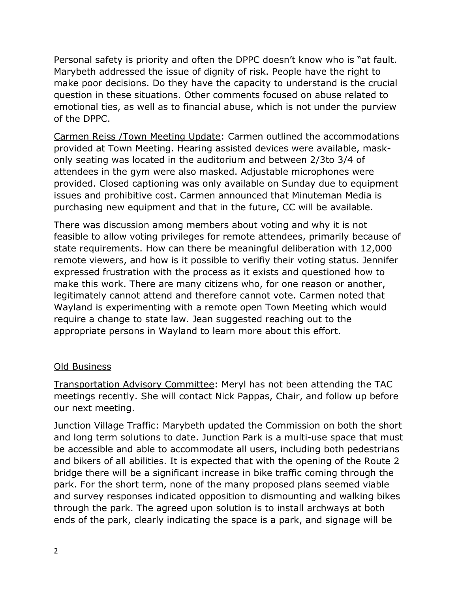Personal safety is priority and often the DPPC doesn't know who is "at fault. Marybeth addressed the issue of dignity of risk. People have the right to make poor decisions. Do they have the capacity to understand is the crucial question in these situations. Other comments focused on abuse related to emotional ties, as well as to financial abuse, which is not under the purview of the DPPC.

Carmen Reiss /Town Meeting Update: Carmen outlined the accommodations provided at Town Meeting. Hearing assisted devices were available, maskonly seating was located in the auditorium and between 2/3to 3/4 of attendees in the gym were also masked. Adjustable microphones were provided. Closed captioning was only available on Sunday due to equipment issues and prohibitive cost. Carmen announced that Minuteman Media is purchasing new equipment and that in the future, CC will be available.

There was discussion among members about voting and why it is not feasible to allow voting privileges for remote attendees, primarily because of state requirements. How can there be meaningful deliberation with 12,000 remote viewers, and how is it possible to verifiy their voting status. Jennifer expressed frustration with the process as it exists and questioned how to make this work. There are many citizens who, for one reason or another, legitimately cannot attend and therefore cannot vote. Carmen noted that Wayland is experimenting with a remote open Town Meeting which would require a change to state law. Jean suggested reaching out to the appropriate persons in Wayland to learn more about this effort.

## Old Business

Transportation Advisory Committee: Meryl has not been attending the TAC meetings recently. She will contact Nick Pappas, Chair, and follow up before our next meeting.

Junction Village Traffic: Marybeth updated the Commission on both the short and long term solutions to date. Junction Park is a multi-use space that must be accessible and able to accommodate all users, including both pedestrians and bikers of all abilities. It is expected that with the opening of the Route 2 bridge there will be a significant increase in bike traffic coming through the park. For the short term, none of the many proposed plans seemed viable and survey responses indicated opposition to dismounting and walking bikes through the park. The agreed upon solution is to install archways at both ends of the park, clearly indicating the space is a park, and signage will be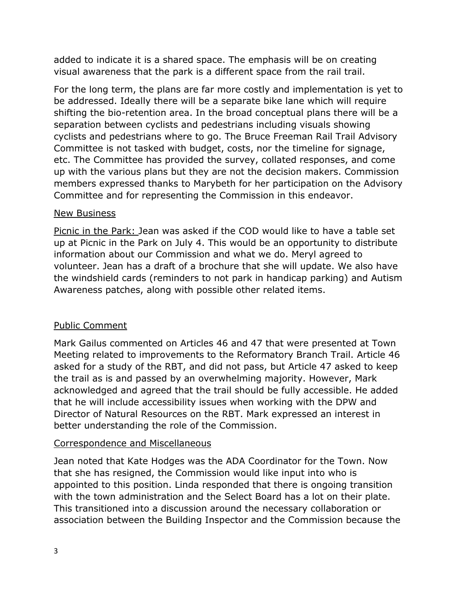added to indicate it is a shared space. The emphasis will be on creating visual awareness that the park is a different space from the rail trail.

For the long term, the plans are far more costly and implementation is yet to be addressed. Ideally there will be a separate bike lane which will require shifting the bio-retention area. In the broad conceptual plans there will be a separation between cyclists and pedestrians including visuals showing cyclists and pedestrians where to go. The Bruce Freeman Rail Trail Advisory Committee is not tasked with budget, costs, nor the timeline for signage, etc. The Committee has provided the survey, collated responses, and come up with the various plans but they are not the decision makers. Commission members expressed thanks to Marybeth for her participation on the Advisory Committee and for representing the Commission in this endeavor.

### New Business

Picnic in the Park: Jean was asked if the COD would like to have a table set up at Picnic in the Park on July 4. This would be an opportunity to distribute information about our Commission and what we do. Meryl agreed to volunteer. Jean has a draft of a brochure that she will update. We also have the windshield cards (reminders to not park in handicap parking) and Autism Awareness patches, along with possible other related items.

## Public Comment

Mark Gailus commented on Articles 46 and 47 that were presented at Town Meeting related to improvements to the Reformatory Branch Trail. Article 46 asked for a study of the RBT, and did not pass, but Article 47 asked to keep the trail as is and passed by an overwhelming majority. However, Mark acknowledged and agreed that the trail should be fully accessible. He added that he will include accessibility issues when working with the DPW and Director of Natural Resources on the RBT. Mark expressed an interest in better understanding the role of the Commission.

## Correspondence and Miscellaneous

Jean noted that Kate Hodges was the ADA Coordinator for the Town. Now that she has resigned, the Commission would like input into who is appointed to this position. Linda responded that there is ongoing transition with the town administration and the Select Board has a lot on their plate. This transitioned into a discussion around the necessary collaboration or association between the Building Inspector and the Commission because the